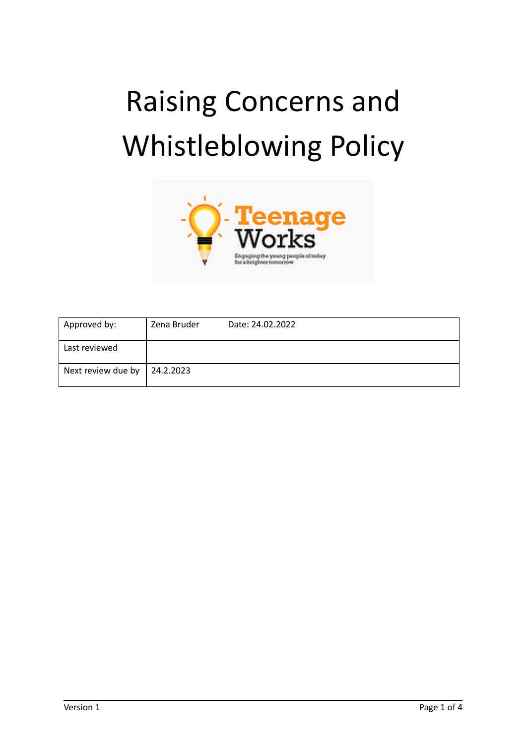# Raising Concerns and Whistleblowing Policy



| Approved by:       | Zena Bruder | Date: 24.02.2022 |
|--------------------|-------------|------------------|
| Last reviewed      |             |                  |
| Next review due by | 24.2.2023   |                  |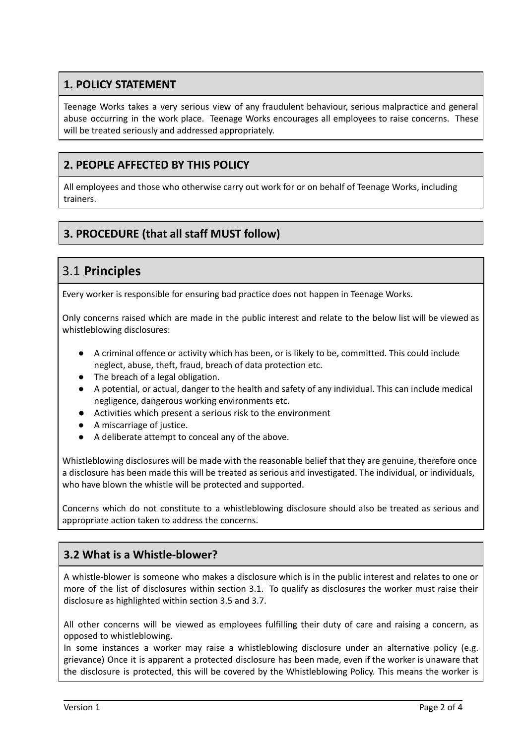## **1. POLICY STATEMENT**

Teenage Works takes a very serious view of any fraudulent behaviour, serious malpractice and general abuse occurring in the work place. Teenage Works encourages all employees to raise concerns. These will be treated seriously and addressed appropriately.

#### **2. PEOPLE AFFECTED BY THIS POLICY**

All employees and those who otherwise carry out work for or on behalf of Teenage Works, including trainers.

# **3. PROCEDURE (that all staff MUST follow)**

# 3.1 **Principles**

Every worker is responsible for ensuring bad practice does not happen in Teenage Works.

Only concerns raised which are made in the public interest and relate to the below list will be viewed as whistleblowing disclosures:

- A criminal offence or activity which has been, or is likely to be, committed. This could include neglect, abuse, theft, fraud, breach of data protection etc.
- The breach of a legal obligation.
- A potential, or actual, danger to the health and safety of any individual. This can include medical negligence, dangerous working environments etc.
- Activities which present a serious risk to the environment
- A miscarriage of justice.
- A deliberate attempt to conceal any of the above.

Whistleblowing disclosures will be made with the reasonable belief that they are genuine, therefore once a disclosure has been made this will be treated as serious and investigated. The individual, or individuals, who have blown the whistle will be protected and supported.

Concerns which do not constitute to a whistleblowing disclosure should also be treated as serious and appropriate action taken to address the concerns.

# **3.2 What is a Whistle-blower?**

A whistle-blower is someone who makes a disclosure which is in the public interest and relates to one or more of the list of disclosures within section 3.1. To qualify as disclosures the worker must raise their disclosure as highlighted within section 3.5 and 3.7.

All other concerns will be viewed as employees fulfilling their duty of care and raising a concern, as opposed to whistleblowing.

In some instances a worker may raise a whistleblowing disclosure under an alternative policy (e.g. grievance) Once it is apparent a protected disclosure has been made, even if the worker is unaware that the disclosure is protected, this will be covered by the Whistleblowing Policy. This means the worker is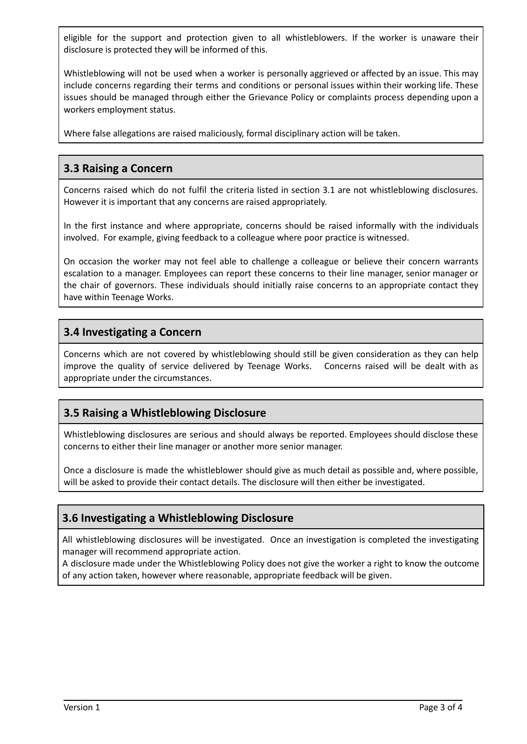eligible for the support and protection given to all whistleblowers. If the worker is unaware their disclosure is protected they will be informed of this.

Whistleblowing will not be used when a worker is personally aggrieved or affected by an issue. This may include concerns regarding their terms and conditions or personal issues within their working life. These issues should be managed through either the Grievance Policy or complaints process depending upon a workers employment status.

Where false allegations are raised maliciously, formal disciplinary action will be taken.

#### **3.3 Raising a Concern**

Concerns raised which do not fulfil the criteria listed in section 3.1 are not whistleblowing disclosures. However it is important that any concerns are raised appropriately.

In the first instance and where appropriate, concerns should be raised informally with the individuals involved. For example, giving feedback to a colleague where poor practice is witnessed.

On occasion the worker may not feel able to challenge a colleague or believe their concern warrants escalation to a manager. Employees can report these concerns to their line manager, senior manager or the chair of governors. These individuals should initially raise concerns to an appropriate contact they have within Teenage Works.

#### **3.4 Investigating a Concern**

Concerns which are not covered by whistleblowing should still be given consideration as they can help improve the quality of service delivered by Teenage Works. Concerns raised will be dealt with as appropriate under the circumstances.

#### **3.5 Raising a Whistleblowing Disclosure**

Whistleblowing disclosures are serious and should always be reported. Employees should disclose these concerns to either their line manager or another more senior manager.

Once a disclosure is made the whistleblower should give as much detail as possible and, where possible, will be asked to provide their contact details. The disclosure will then either be investigated.

#### **3.6 Investigating a Whistleblowing Disclosure**

All whistleblowing disclosures will be investigated. Once an investigation is completed the investigating manager will recommend appropriate action.

A disclosure made under the Whistleblowing Policy does not give the worker a right to know the outcome of any action taken, however where reasonable, appropriate feedback will be given.